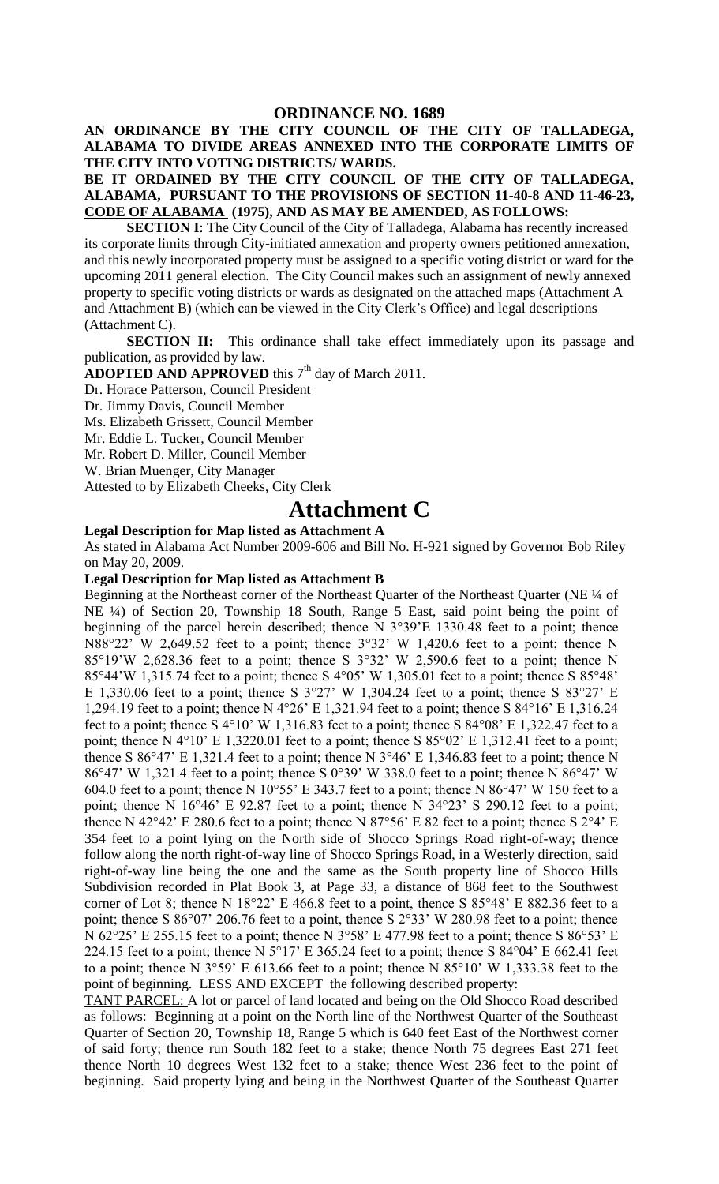**AN ORDINANCE BY THE CITY COUNCIL OF THE CITY OF TALLADEGA, ALABAMA TO DIVIDE AREAS ANNEXED INTO THE CORPORATE LIMITS OF THE CITY INTO VOTING DISTRICTS/ WARDS.**

**BE IT ORDAINED BY THE CITY COUNCIL OF THE CITY OF TALLADEGA, ALABAMA, PURSUANT TO THE PROVISIONS OF SECTION 11-40-8 AND 11-46-23, CODE OF ALABAMA (1975), AND AS MAY BE AMENDED, AS FOLLOWS:**

**SECTION I**: The City Council of the City of Talladega, Alabama has recently increased its corporate limits through City-initiated annexation and property owners petitioned annexation, and this newly incorporated property must be assigned to a specific voting district or ward for the upcoming 2011 general election. The City Council makes such an assignment of newly annexed property to specific voting districts or wards as designated on the attached maps (Attachment A and Attachment B) (which can be viewed in the City Clerk's Office) and legal descriptions (Attachment C).

**SECTION II:** This ordinance shall take effect immediately upon its passage and publication, as provided by law.

**ADOPTED AND APPROVED** this  $7<sup>th</sup>$  day of March 2011.

Dr. Horace Patterson, Council President

Dr. Jimmy Davis, Council Member

Ms. Elizabeth Grissett, Council Member

Mr. Eddie L. Tucker, Council Member

Mr. Robert D. Miller, Council Member

W. Brian Muenger, City Manager

Attested to by Elizabeth Cheeks, City Clerk

## **Attachment C**

## **Legal Description for Map listed as Attachment A**

As stated in Alabama Act Number 2009-606 and Bill No. H-921 signed by Governor Bob Riley on May 20, 2009.

## **Legal Description for Map listed as Attachment B**

Beginning at the Northeast corner of the Northeast Quarter of the Northeast Quarter (NE  $\frac{1}{4}$  of NE ¼) of Section 20, Township 18 South, Range 5 East, said point being the point of beginning of the parcel herein described; thence N 3°39'E 1330.48 feet to a point; thence N88°22' W 2,649.52 feet to a point; thence 3°32' W 1,420.6 feet to a point; thence N 85°19'W 2,628.36 feet to a point; thence S  $3°32'$  W 2,590.6 feet to a point; thence N 85°44'W 1,315.74 feet to a point; thence S 4°05' W 1,305.01 feet to a point; thence S 85°48' E 1,330.06 feet to a point; thence S  $3^{\circ}27'$  W 1,304.24 feet to a point; thence S  $83^{\circ}27'$  E 1,294.19 feet to a point; thence N 4°26' E 1,321.94 feet to a point; thence S 84°16' E 1,316.24 feet to a point; thence S 4°10' W 1,316.83 feet to a point; thence S 84°08' E 1,322.47 feet to a point; thence N 4°10' E 1,3220.01 feet to a point; thence S 85°02' E 1,312.41 feet to a point; thence S 86°47' E 1,321.4 feet to a point; thence N  $3^{\circ}46'$  E 1,346.83 feet to a point; thence N 86°47' W 1,321.4 feet to a point; thence S 0°39' W 338.0 feet to a point; thence N 86°47' W 604.0 feet to a point; thence N 10°55' E 343.7 feet to a point; thence N 86°47' W 150 feet to a point; thence N 16°46' E 92.87 feet to a point; thence N 34°23' S 290.12 feet to a point; thence N 42°42' E 280.6 feet to a point; thence N 87°56' E 82 feet to a point; thence S 2°4' E 354 feet to a point lying on the North side of Shocco Springs Road right-of-way; thence follow along the north right-of-way line of Shocco Springs Road, in a Westerly direction, said right-of-way line being the one and the same as the South property line of Shocco Hills Subdivision recorded in Plat Book 3, at Page 33, a distance of 868 feet to the Southwest corner of Lot 8; thence N  $18^{\circ}22'$  E 466.8 feet to a point, thence S  $85^{\circ}48'$  E  $882.36$  feet to a point; thence S 86°07' 206.76 feet to a point, thence S 2°33' W 280.98 feet to a point; thence N 62°25' E 255.15 feet to a point; thence N 3°58' E 477.98 feet to a point; thence S 86°53' E 224.15 feet to a point; thence N  $5^{\circ}17'$  E 365.24 feet to a point; thence S 84 $^{\circ}04'$  E 662.41 feet to a point; thence N 3°59' E 613.66 feet to a point; thence N 85°10' W 1,333.38 feet to the point of beginning. LESS AND EXCEPT the following described property:

TANT PARCEL: A lot or parcel of land located and being on the Old Shocco Road described as follows: Beginning at a point on the North line of the Northwest Quarter of the Southeast Quarter of Section 20, Township 18, Range 5 which is 640 feet East of the Northwest corner of said forty; thence run South 182 feet to a stake; thence North 75 degrees East 271 feet thence North 10 degrees West 132 feet to a stake; thence West 236 feet to the point of beginning. Said property lying and being in the Northwest Quarter of the Southeast Quarter